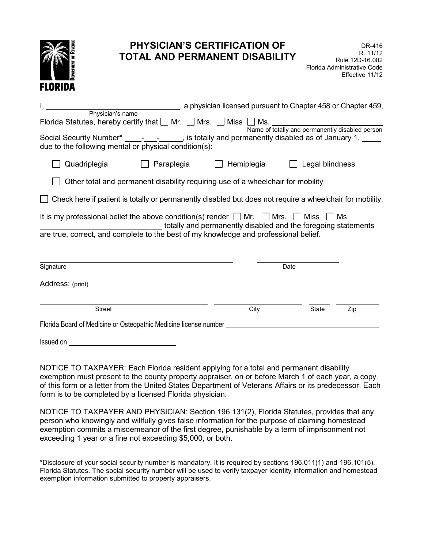| <b>PHYSICIAN'S CERTIFICATION OF</b><br><b>TOTAL AND PERMANENT DISABILITY</b><br><b>FLORIDA</b>                                                                                                                                                                     |            | DR-416<br>R. 11/12<br>Rule 12D-16.002<br>Florida Administrative Code<br>Effective 11/12 |  |
|--------------------------------------------------------------------------------------------------------------------------------------------------------------------------------------------------------------------------------------------------------------------|------------|-----------------------------------------------------------------------------------------|--|
| a physician licensed pursuant to Chapter 458 or Chapter 459,                                                                                                                                                                                                       |            |                                                                                         |  |
| Physician's name<br>Florida Statutes, hereby certify that $\Box$ Mr. $\Box$ Mrs. $\Box$ Miss $\Box$ Ms.                                                                                                                                                            |            |                                                                                         |  |
| Name of totally and permanently disabled person<br>Social Security Number* _____-___________, is totally and permanently disabled as of January 1, ____<br>due to the following mental or physical condition(s):                                                   |            |                                                                                         |  |
| Quadriplegia<br>Paraplegia                                                                                                                                                                                                                                         | Hemiplegia | Legal blindness                                                                         |  |
| Other total and permanent disability requiring use of a wheelchair for mobility                                                                                                                                                                                    |            |                                                                                         |  |
| Check here if patient is totally or permanently disabled but does not require a wheelchair for mobility.                                                                                                                                                           |            |                                                                                         |  |
| It is my professional belief the above condition(s) render $\Box$ Mr. $\Box$ Mrs.<br>$\Box$ Miss<br>l Ms.<br>totally and permanently disabled and the foregoing statements<br>are true, correct, and complete to the best of my knowledge and professional belief. |            |                                                                                         |  |
| Signature                                                                                                                                                                                                                                                          | Date       |                                                                                         |  |
| Address: (print)                                                                                                                                                                                                                                                   |            |                                                                                         |  |
|                                                                                                                                                                                                                                                                    |            |                                                                                         |  |
| <b>Street</b>                                                                                                                                                                                                                                                      | City       | State<br>Zip                                                                            |  |
| Florida Board of Medicine or Osteopathic Medicine license number                                                                                                                                                                                                   |            |                                                                                         |  |
| Issued on                                                                                                                                                                                                                                                          |            |                                                                                         |  |

 NOTICE TO TAXPAYER: Each Florida resident applying for a total and permanent disability exemption must present to the county property appraiser, on or before March 1 of each year, a copy of this form or a letter from the United States Department of Veterans Affairs or its predecessor. Each form is to be completed by a licensed Florida physician.

 NOTICE TO TAXPAYER AND PHYSICIAN: Section 196.131(2), Florida Statutes, provides that any person who knowingly and willfully gives false information for the purpose of claiming homestead exemption commits a misdemeanor of the first degree, punishable by a term of imprisonment not exceeding 1 year or a fine not exceeding \$5,000, or both.

 \*Disclosure of your social security number is mandatory. It is required by sections 196.011(1) and 196.101(5), Florida Statutes. The social security number will be used to verify taxpayer identity information and homestead exemption information submitted to property appraisers.